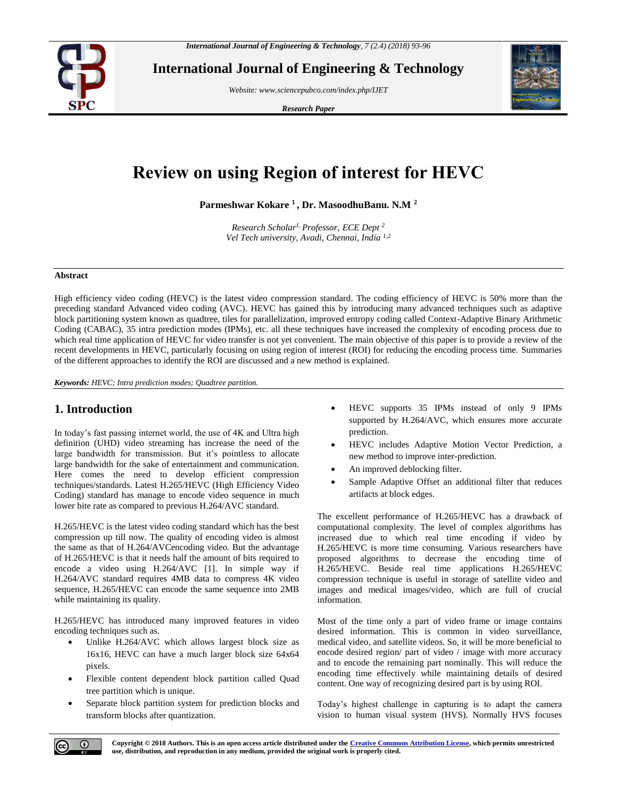

**International Journal of Engineering & Technology**

*Website: www.sciencepubco.com/index.php/IJET*

*Research Paper*



# **Review on using Region of interest for HEVC**

**Parmeshwar Kokare <sup>1</sup> , Dr. MasoodhuBanu. N.M <sup>2</sup>**

*Research Scholar1, Professor, ECE Dept <sup>2</sup> Vel Tech university, Avadi, Chennai, India 1,2*

#### **Abstract**

High efficiency video coding (HEVC) is the latest video compression standard. The coding efficiency of HEVC is 50% more than the preceding standard Advanced video coding (AVC). HEVC has gained this by introducing many advanced techniques such as adaptive block partitioning system known as quadtree, tiles for parallelization, improved entropy coding called Context-Adaptive Binary Arithmetic Coding (CABAC), 35 intra prediction modes (IPMs), etc. all these techniques have increased the complexity of encoding process due to which real time application of HEVC for video transfer is not yet convenient. The main objective of this paper is to provide a review of the recent developments in HEVC, particularly focusing on using region of interest (ROI) for reducing the encoding process time. Summaries of the different approaches to identify the ROI are discussed and a new method is explained.

*Keywords: HEVC; Intra prediction modes; Quadtree partition.*

## **1. Introduction**

In today's fast passing internet world, the use of 4K and Ultra high definition (UHD) video streaming has increase the need of the large bandwidth for transmission. But it's pointless to allocate large bandwidth for the sake of entertainment and communication. Here comes the need to develop efficient compression techniques/standards. Latest H.265/HEVC (High Efficiency Video Coding) standard has manage to encode video sequence in much lower bite rate as compared to previous H.264/AVC standard.

H.265/HEVC is the latest video coding standard which has the best compression up till now. The quality of encoding video is almost the same as that of H.264/AVCencoding video. But the advantage of H.265/HEVC is that it needs half the amount of bits required to encode a video using H.264/AVC [1]. In simple way if H.264/AVC standard requires 4MB data to compress 4K video sequence, H.265/HEVC can encode the same sequence into 2MB while maintaining its quality.

H.265/HEVC has introduced many improved features in video encoding techniques such as.

- Unlike H.264/AVC which allows largest block size as 16x16, HEVC can have a much larger block size 64x64 pixels.
- Flexible content dependent block partition called Quad tree partition which is unique.
- Separate block partition system for prediction blocks and transform blocks after quantization.
- HEVC supports 35 IPMs instead of only 9 IPMs supported by H.264/AVC, which ensures more accurate prediction.
- HEVC includes Adaptive Motion Vector Prediction, a new method to improve inter-prediction.
- An improved deblocking filter.
- Sample Adaptive Offset an additional filter that reduces artifacts at block edges.

The excellent performance of H.265/HEVC has a drawback of computational complexity. The level of complex algorithms has increased due to which real time encoding if video by H.265/HEVC is more time consuming. Various researchers have proposed algorithms to decrease the encoding time of H.265/HEVC. Beside real time applications H.265/HEVC compression technique is useful in storage of satellite video and images and medical images/video, which are full of crucial information.

Most of the time only a part of video frame or image contains desired information. This is common in video surveillance, medical video, and satellite videos. So, it will be more beneficial to encode desired region/ part of video / image with more accuracy and to encode the remaining part nominally. This will reduce the encoding time effectively while maintaining details of desired content. One way of recognizing desired part is by using ROI.

Today's highest challenge in capturing is to adapt the camera vision to human visual system (HVS). Normally HVS focuses

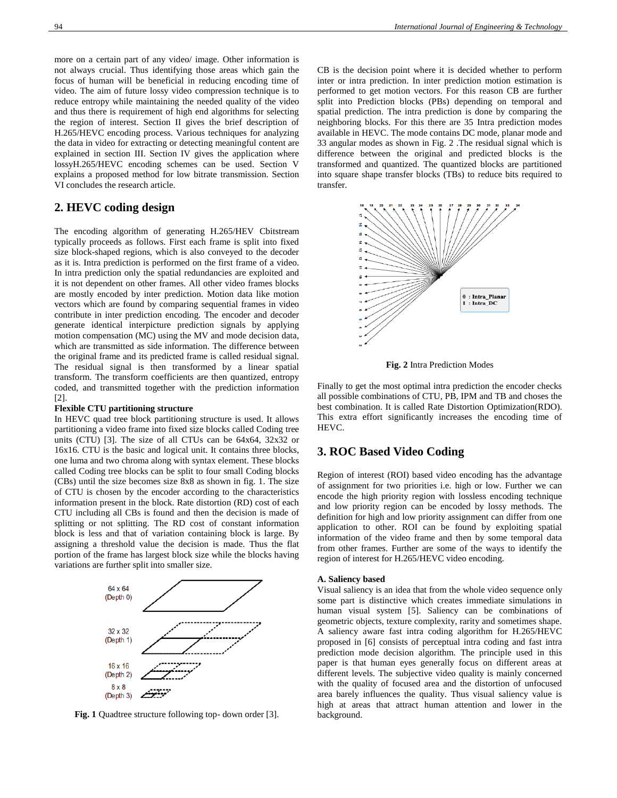more on a certain part of any video/ image. Other information is not always crucial. Thus identifying those areas which gain the focus of human will be beneficial in reducing encoding time of video. The aim of future lossy video compression technique is to reduce entropy while maintaining the needed quality of the video and thus there is requirement of high end algorithms for selecting the region of interest. Section II gives the brief description of H.265/HEVC encoding process. Various techniques for analyzing the data in video for extracting or detecting meaningful content are explained in section III. Section IV gives the application where lossyH.265/HEVC encoding schemes can be used. Section V explains a proposed method for low bitrate transmission. Section VI concludes the research article.

# **2. HEVC coding design**

The encoding algorithm of generating H.265/HEV Cbitstream typically proceeds as follows. First each frame is split into fixed size block-shaped regions, which is also conveyed to the decoder as it is. Intra prediction is performed on the first frame of a video. In intra prediction only the spatial redundancies are exploited and it is not dependent on other frames. All other video frames blocks are mostly encoded by inter prediction. Motion data like motion vectors which are found by comparing sequential frames in video contribute in inter prediction encoding. The encoder and decoder generate identical interpicture prediction signals by applying motion compensation (MC) using the MV and mode decision data, which are transmitted as side information. The difference between the original frame and its predicted frame is called residual signal. The residual signal is then transformed by a linear spatial transform. The transform coefficients are then quantized, entropy coded, and transmitted together with the prediction information [2].

### **Flexible CTU partitioning structure**

In HEVC quad tree block partitioning structure is used. It allows partitioning a video frame into fixed size blocks called Coding tree units (CTU) [3]. The size of all CTUs can be 64x64, 32x32 or 16x16. CTU is the basic and logical unit. It contains three blocks, one luma and two chroma along with syntax element. These blocks called Coding tree blocks can be split to four small Coding blocks (CBs) until the size becomes size 8x8 as shown in fig. 1. The size of CTU is chosen by the encoder according to the characteristics information present in the block. Rate distortion (RD) cost of each CTU including all CBs is found and then the decision is made of splitting or not splitting. The RD cost of constant information block is less and that of variation containing block is large. By assigning a threshold value the decision is made. Thus the flat portion of the frame has largest block size while the blocks having variations are further split into smaller size.



**Fig. 1** Quadtree structure following top- down order [3].

CB is the decision point where it is decided whether to perform inter or intra prediction. In inter prediction motion estimation is performed to get motion vectors. For this reason CB are further split into Prediction blocks (PBs) depending on temporal and spatial prediction. The intra prediction is done by comparing the neighboring blocks. For this there are 35 Intra prediction modes available in HEVC. The mode contains DC mode, planar mode and 33 angular modes as shown in Fig. 2 .The residual signal which is difference between the original and predicted blocks is the transformed and quantized. The quantized blocks are partitioned into square shape transfer blocks (TBs) to reduce bits required to transfer.



**Fig. 2** Intra Prediction Modes

Finally to get the most optimal intra prediction the encoder checks all possible combinations of CTU, PB, IPM and TB and choses the best combination. It is called Rate Distortion Optimization(RDO). This extra effort significantly increases the encoding time of HEVC.

## **3. ROC Based Video Coding**

Region of interest (ROI) based video encoding has the advantage of assignment for two priorities i.e. high or low. Further we can encode the high priority region with lossless encoding technique and low priority region can be encoded by lossy methods. The definition for high and low priority assignment can differ from one application to other. ROI can be found by exploiting spatial information of the video frame and then by some temporal data from other frames. Further are some of the ways to identify the region of interest for H.265/HEVC video encoding.

#### **A. Saliency based**

Visual saliency is an idea that from the whole video sequence only some part is distinctive which creates immediate simulations in human visual system [5]. Saliency can be combinations of geometric objects, texture complexity, rarity and sometimes shape. A saliency aware fast intra coding algorithm for H.265/HEVC proposed in [6] consists of perceptual intra coding and fast intra prediction mode decision algorithm. The principle used in this paper is that human eyes generally focus on different areas at different levels. The subjective video quality is mainly concerned with the quality of focused area and the distortion of unfocused area barely influences the quality. Thus visual saliency value is high at areas that attract human attention and lower in the background.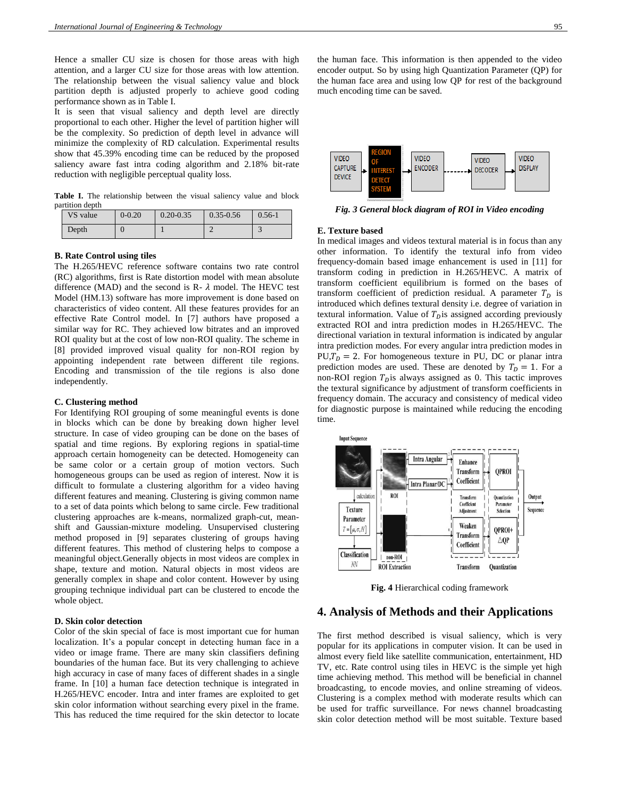Hence a smaller CU size is chosen for those areas with high attention, and a larger CU size for those areas with low attention. The relationship between the visual saliency value and block partition depth is adjusted properly to achieve good coding performance shown as in Table I.

It is seen that visual saliency and depth level are directly proportional to each other. Higher the level of partition higher will be the complexity. So prediction of depth level in advance will minimize the complexity of RD calculation. Experimental results show that 45.39% encoding time can be reduced by the proposed saliency aware fast intra coding algorithm and 2.18% bit-rate reduction with negligible perceptual quality loss.

Table I. The relationship between the visual saliency value and block partition depth

| VS value | $0 - 0.20$ | $0.20 - 0.35$ | $0.35 - 0.56$ | $0.56 - 1$ |
|----------|------------|---------------|---------------|------------|
| Depth    | 0          |               |               |            |

#### **B. Rate Control using tiles**

The H.265/HEVC reference software contains two rate control (RC) algorithms, first is Rate distortion model with mean absolute difference (MAD) and the second is R-  $\lambda$  model. The HEVC test Model (HM.13) software has more improvement is done based on characteristics of video content. All these features provides for an effective Rate Control model. In [7] authors have proposed a similar way for RC. They achieved low bitrates and an improved ROI quality but at the cost of low non-ROI quality. The scheme in [8] provided improved visual quality for non-ROI region by appointing independent rate between different tile regions. Encoding and transmission of the tile regions is also done independently.

#### **C. Clustering method**

For Identifying ROI grouping of some meaningful events is done in blocks which can be done by breaking down higher level structure. In case of video grouping can be done on the bases of spatial and time regions. By exploring regions in spatial-time approach certain homogeneity can be detected. Homogeneity can be same color or a certain group of motion vectors. Such homogeneous groups can be used as region of interest. Now it is difficult to formulate a clustering algorithm for a video having different features and meaning. Clustering is giving common name to a set of data points which belong to same circle. Few traditional clustering approaches are k-means, normalized graph-cut, meanshift and Gaussian-mixture modeling. Unsupervised clustering method proposed in [9] separates clustering of groups having different features. This method of clustering helps to compose a meaningful object.Generally objects in most videos are complex in shape, texture and motion. Natural objects in most videos are generally complex in shape and color content. However by using grouping technique individual part can be clustered to encode the whole object.

#### **D. Skin color detection**

Color of the skin special of face is most important cue for human localization. It's a popular concept in detecting human face in a video or image frame. There are many skin classifiers defining boundaries of the human face. But its very challenging to achieve high accuracy in case of many faces of different shades in a single frame. In [10] a human face detection technique is integrated in H.265/HEVC encoder. Intra and inter frames are exploited to get skin color information without searching every pixel in the frame. This has reduced the time required for the skin detector to locate the human face. This information is then appended to the video encoder output. So by using high Quantization Parameter (QP) for the human face area and using low QP for rest of the background much encoding time can be saved.



*Fig. 3 General block diagram of ROI in Video encoding*

#### **E. Texture based**

In medical images and videos textural material is in focus than any other information. To identify the textural info from video frequency-domain based image enhancement is used in [11] for transform coding in prediction in H.265/HEVC. A matrix of transform coefficient equilibrium is formed on the bases of transform coefficient of prediction residual. A parameter  $T<sub>D</sub>$  is introduced which defines textural density i.e. degree of variation in textural information. Value of  $T<sub>p</sub>$  is assigned according previously extracted ROI and intra prediction modes in H.265/HEVC. The directional variation in textural information is indicated by angular intra prediction modes. For every angular intra prediction modes in  $PU, T<sub>p</sub> = 2$ . For homogeneous texture in PU, DC or planar intra prediction modes are used. These are denoted by  $T_p = 1$ . For a non-ROI region  $T<sub>p</sub>$  is always assigned as 0. This tactic improves the textural significance by adjustment of transform coefficients in frequency domain. The accuracy and consistency of medical video for diagnostic purpose is maintained while reducing the encoding time.



**Fig. 4** Hierarchical coding framework

## **4. Analysis of Methods and their Applications**

The first method described is visual saliency, which is very popular for its applications in computer vision. It can be used in almost every field like satellite communication, entertainment, HD TV, etc. Rate control using tiles in HEVC is the simple yet high time achieving method. This method will be beneficial in channel broadcasting, to encode movies, and online streaming of videos. Clustering is a complex method with moderate results which can be used for traffic surveillance. For news channel broadcasting skin color detection method will be most suitable. Texture based